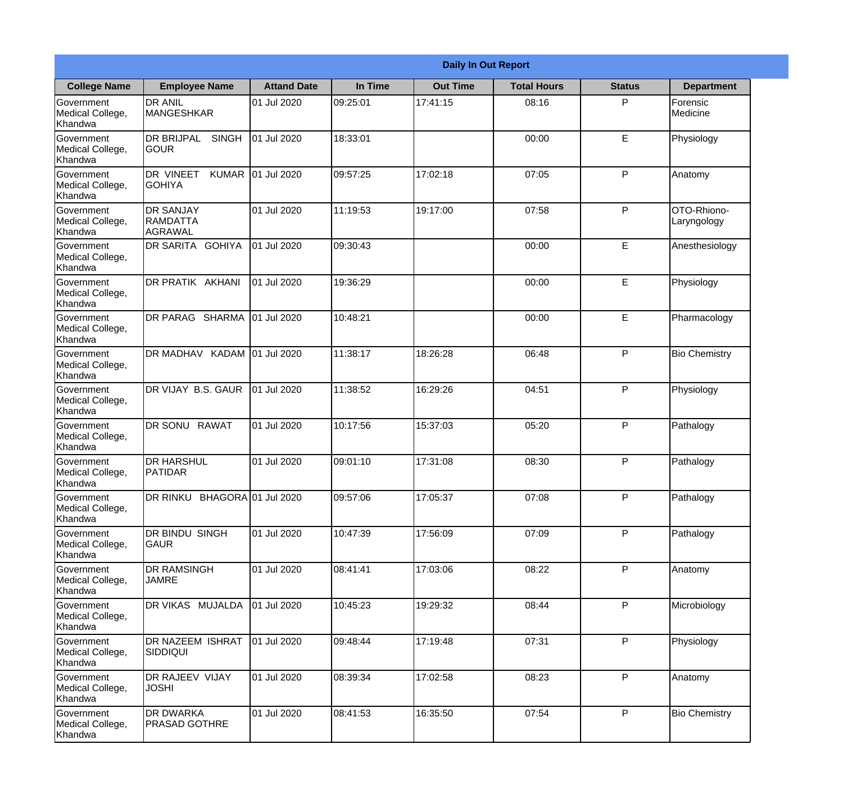|                                                  |                                                       |                    |          | <b>Daily In Out Report</b> |                    |               |                            |
|--------------------------------------------------|-------------------------------------------------------|--------------------|----------|----------------------------|--------------------|---------------|----------------------------|
| <b>College Name</b>                              | <b>Employee Name</b>                                  | <b>Attand Date</b> | In Time  | <b>Out Time</b>            | <b>Total Hours</b> | <b>Status</b> | <b>Department</b>          |
| Government<br>Medical College,<br>Khandwa        | <b>DR ANIL</b><br><b>MANGESHKAR</b>                   | 01 Jul 2020        | 09:25:01 | 17:41:15                   | 08:16              | P             | Forensic<br>Medicine       |
| Government<br>Medical College,<br>Khandwa        | <b>DR BRIJPAL</b><br><b>SINGH</b><br> GOUR            | 01 Jul 2020        | 18:33:01 |                            | 00:00              | E             | Physiology                 |
| <b>Government</b><br>Medical College,<br>Khandwa | <b>DR VINEET</b><br><b>KUMAR</b><br><b>I</b> GOHIYA   | 01 Jul 2020        | 09:57:25 | 17:02:18                   | 07:05              | P             | Anatomy                    |
| Government<br>Medical College,<br>Khandwa        | <b>DR SANJAY</b><br><b>RAMDATTA</b><br><b>AGRAWAL</b> | 01 Jul 2020        | 11:19:53 | 19:17:00                   | 07:58              | P             | OTO-Rhiono-<br>Laryngology |
| Government<br>Medical College,<br>Khandwa        | <b>IDR SARITA GOHIYA</b>                              | 01 Jul 2020        | 09:30:43 |                            | 00:00              | E             | Anesthesiology             |
| Government<br>Medical College,<br>Khandwa        | DR PRATIK AKHANI                                      | 01 Jul 2020        | 19:36:29 |                            | 00:00              | E             | Physiology                 |
| Government<br>Medical College,<br>Khandwa        | DR PARAG SHARMA                                       | 01 Jul 2020        | 10:48:21 |                            | 00:00              | E             | Pharmacology               |
| Government<br>Medical College,<br>Khandwa        | DR MADHAV KADAM 01 Jul 2020                           |                    | 11:38:17 | 18:26:28                   | 06:48              | P             | <b>Bio Chemistry</b>       |
| Government<br>Medical College,<br>Khandwa        | DR VIJAY B.S. GAUR                                    | 01 Jul 2020        | 11:38:52 | 16:29:26                   | 04:51              | P             | Physiology                 |
| Government<br>Medical College,<br>Khandwa        | <b>DR SONU</b><br><b>RAWAT</b>                        | 01 Jul 2020        | 10:17:56 | 15:37:03                   | 05:20              | P             | Pathalogy                  |
| Government<br>Medical College,<br>Khandwa        | IDR HARSHUL<br><b>PATIDAR</b>                         | 01 Jul 2020        | 09:01:10 | 17:31:08                   | 08:30              | $\mathsf{P}$  | Pathalogy                  |
| Government<br>Medical College,<br>Khandwa        | DR RINKU BHAGORA 01 Jul 2020                          |                    | 09:57:06 | 17:05:37                   | 07:08              | P             | Pathalogy                  |
| Government<br>Medical College,<br>Khandwa        | DR BINDU SINGH<br><b>GAUR</b>                         | 01 Jul 2020        | 10:47:39 | 17:56:09                   | 07:09              | P             | Pathalogy                  |
| Government<br>Medical College,<br>Khandwa        | <b>DR RAMSINGH</b><br><b>JAMRE</b>                    | 01 Jul 2020        | 08:41:41 | 17:03:06                   | 08:22              | P             | Anatomy                    |
| Government<br>Medical College,<br>Khandwa        | <b>DR VIKAS MUJALDA</b>                               | 01 Jul 2020        | 10:45:23 | 19:29:32                   | 08:44              | P             | Microbiology               |
| Government<br>Medical College,<br>Khandwa        | <b>DR NAZEEM ISHRAT</b><br><b>SIDDIQUI</b>            | 01 Jul 2020        | 09:48:44 | 17:19:48                   | 07:31              | P             | Physiology                 |
| Government<br>Medical College,<br>Khandwa        | <b>DR RAJEEV VIJAY</b><br><b>JOSHI</b>                | 01 Jul 2020        | 08:39:34 | 17:02:58                   | 08:23              | P             | Anatomy                    |
| Government<br>Medical College,<br>Khandwa        | <b>DR DWARKA</b><br><b>PRASAD GOTHRE</b>              | 01 Jul 2020        | 08:41:53 | 16:35:50                   | 07:54              | P             | <b>Bio Chemistry</b>       |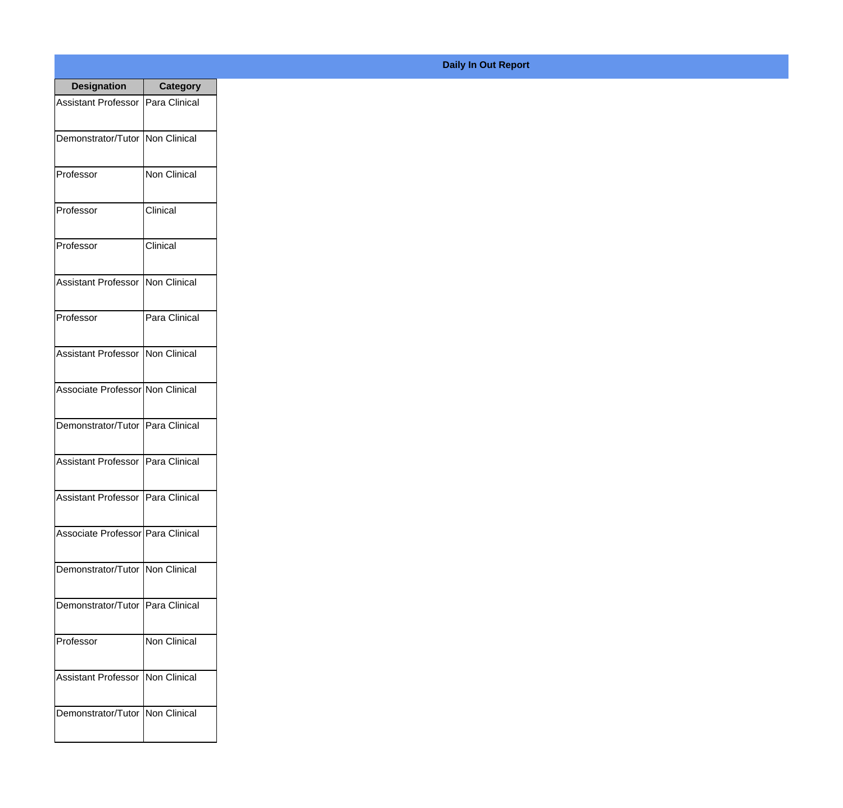| <b>Designation</b>                  | <b>Category</b>     |
|-------------------------------------|---------------------|
| Assistant Professor   Para Clinical |                     |
| Demonstrator/Tutor                  | Non Clinical        |
| Professor                           | <b>Non Clinical</b> |
| Professor                           | Clinical            |
| Professor                           | Clinical            |
| <b>Assistant Professor</b>          | Non Clinical        |
| Professor                           | Para Clinical       |
| Assistant Professor Non Clinical    |                     |
| Associate Professor Non Clinical    |                     |
| Demonstrator/Tutor                  | Para Clinical       |
| <b>Assistant Professor</b>          | Para Clinical       |
| Assistant Professor   Para Clinical |                     |
| Associate Professor Para Clinical   |                     |
| Demonstrator/Tutor   Non Clinical   |                     |
| Demonstrator/Tutor   Para Clinical  |                     |
| Professor                           | Non Clinical        |
| <b>Assistant Professor</b>          | Non Clinical        |
| Demonstrator/Tutor   Non Clinical   |                     |

## **Daily In Out Report**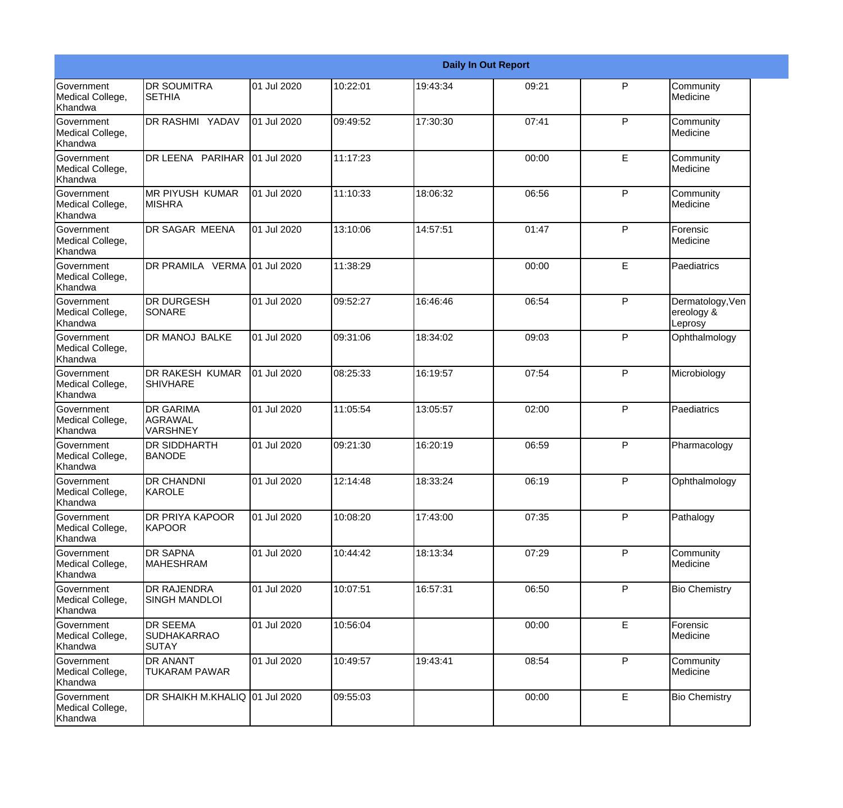|                                                  |                                                       |             |          |          | <b>Daily In Out Report</b> |              |                                           |
|--------------------------------------------------|-------------------------------------------------------|-------------|----------|----------|----------------------------|--------------|-------------------------------------------|
| Government<br>Medical College,<br>Khandwa        | <b>DR SOUMITRA</b><br><b>SETHIA</b>                   | 01 Jul 2020 | 10:22:01 | 19:43:34 | 09:21                      | $\mathsf{P}$ | Community<br>Medicine                     |
| Government<br>Medical College,<br>Khandwa        | DR RASHMI YADAV                                       | 01 Jul 2020 | 09:49:52 | 17:30:30 | 07:41                      | P            | Community<br>Medicine                     |
| <b>Government</b><br>Medical College,<br>Khandwa | DR LEENA PARIHAR                                      | 01 Jul 2020 | 11:17:23 |          | 00:00                      | E            | Community<br>Medicine                     |
| <b>Government</b><br>Medical College,<br>Khandwa | <b>MR PIYUSH KUMAR</b><br><b>MISHRA</b>               | 01 Jul 2020 | 11:10:33 | 18:06:32 | 06:56                      | P            | Community<br>Medicine                     |
| Government<br>Medical College,<br>Khandwa        | DR SAGAR MEENA                                        | 01 Jul 2020 | 13:10:06 | 14:57:51 | 01:47                      | $\mathsf{P}$ | Forensic<br>Medicine                      |
| Government<br>Medical College,<br><b>Khandwa</b> | DR PRAMILA VERMA 01 Jul 2020                          |             | 11:38:29 |          | 00:00                      | E            | Paediatrics                               |
| <b>Government</b><br>Medical College,<br>Khandwa | <b>DR DURGESH</b><br>SONARE                           | 01 Jul 2020 | 09:52:27 | 16:46:46 | 06:54                      | P            | Dermatology, Ven<br>ereology &<br>Leprosy |
| Government<br>Medical College,<br>Khandwa        | <b>DR MANOJ BALKE</b>                                 | 01 Jul 2020 | 09:31:06 | 18:34:02 | 09:03                      | $\mathsf{P}$ | Ophthalmology                             |
| Government<br>Medical College,<br>Khandwa        | DR RAKESH KUMAR<br><b>SHIVHARE</b>                    | 01 Jul 2020 | 08:25:33 | 16:19:57 | 07:54                      | $\mathsf{P}$ | Microbiology                              |
| <b>Government</b><br>Medical College,<br>Khandwa | <b>DR GARIMA</b><br>AGRAWAL<br><b>VARSHNEY</b>        | 01 Jul 2020 | 11:05:54 | 13:05:57 | 02:00                      | P            | Paediatrics                               |
| <b>Government</b><br>Medical College,<br>Khandwa | <b>DR SIDDHARTH</b><br><b>BANODE</b>                  | 01 Jul 2020 | 09:21:30 | 16:20:19 | 06:59                      | P            | Pharmacology                              |
| Government<br>Medical College,<br>Khandwa        | <b>DR CHANDNI</b><br>KAROLE                           | 01 Jul 2020 | 12:14:48 | 18:33:24 | 06:19                      | P            | Ophthalmology                             |
| Government<br>Medical College,<br>Khandwa        | DR PRIYA KAPOOR<br><b>KAPOOR</b>                      | 01 Jul 2020 | 10:08:20 | 17:43:00 | 07:35                      | P            | Pathalogy                                 |
| <b>Government</b><br>Medical College,<br>Khandwa | <b>DR SAPNA</b><br><b>MAHESHRAM</b>                   | 01 Jul 2020 | 10:44:42 | 18:13:34 | 07:29                      | P            | Community<br>Medicine                     |
| Government<br>Medical College,<br>Khandwa        | <b>DR RAJENDRA</b><br><b>SINGH MANDLOI</b>            | 01 Jul 2020 | 10:07:51 | 16:57:31 | 06:50                      | P            | <b>Bio Chemistry</b>                      |
| Government<br>Medical College,<br>Khandwa        | <b>DR SEEMA</b><br><b>SUDHAKARRAO</b><br><b>SUTAY</b> | 01 Jul 2020 | 10:56:04 |          | 00:00                      | E            | Forensic<br>Medicine                      |
| Government<br>Medical College,<br>Khandwa        | <b>DR ANANT</b><br>TUKARAM PAWAR                      | 01 Jul 2020 | 10:49:57 | 19:43:41 | 08:54                      | $\mathsf{P}$ | Community<br>Medicine                     |
| Government<br>Medical College,<br>Khandwa        | DR SHAIKH M.KHALIQ 01 Jul 2020                        |             | 09:55:03 |          | 00:00                      | E            | <b>Bio Chemistry</b>                      |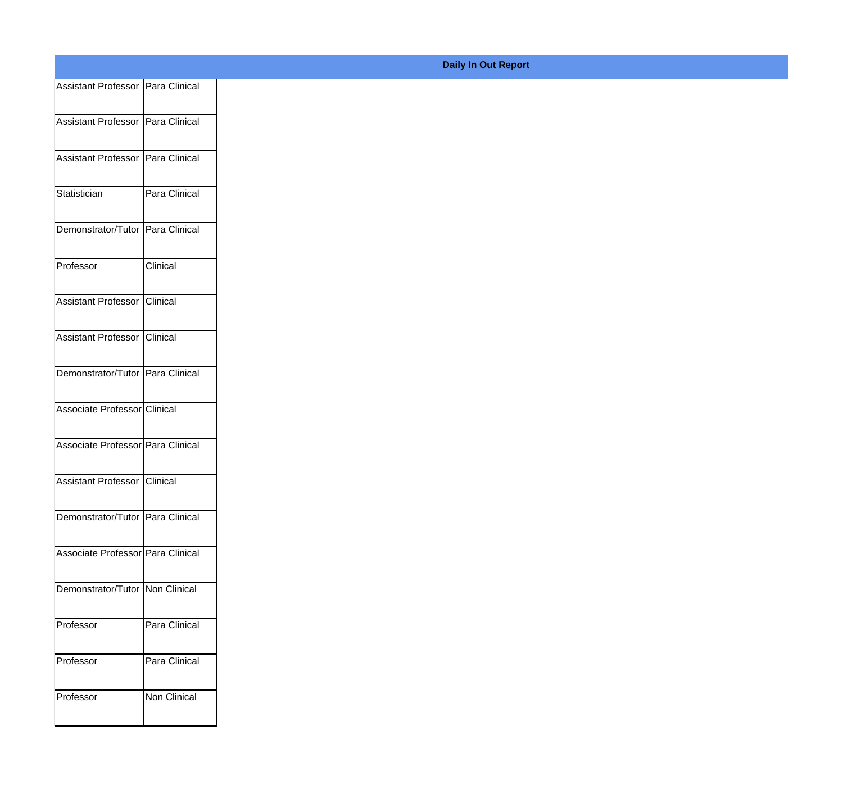| Assistant Professor   Para Clinical |               |
|-------------------------------------|---------------|
|                                     |               |
| Assistant Professor Para Clinical   |               |
| Assistant Professor Para Clinical   |               |
|                                     |               |
| Statistician                        | Para Clinical |
| Demonstrator/Tutor Para Clinical    |               |
| Professor                           | Clinical      |
|                                     |               |
| Assistant Professor Clinical        |               |
| Assistant Professor Clinical        |               |
|                                     |               |
| Demonstrator/Tutor Para Clinical    |               |
| Associate Professor Clinical        |               |
|                                     |               |
| Associate Professor Para Clinical   |               |
| Assistant Professor Clinical        |               |
|                                     |               |
| Demonstrator/Tutor Para Clinical    |               |
| Associate Professor Para Clinical   |               |
|                                     |               |
| Demonstrator/Tutor Non Clinical     |               |
| Professor                           | Para Clinical |
|                                     |               |
| Professor                           | Para Clinical |
| Professor                           | Non Clinical  |
|                                     |               |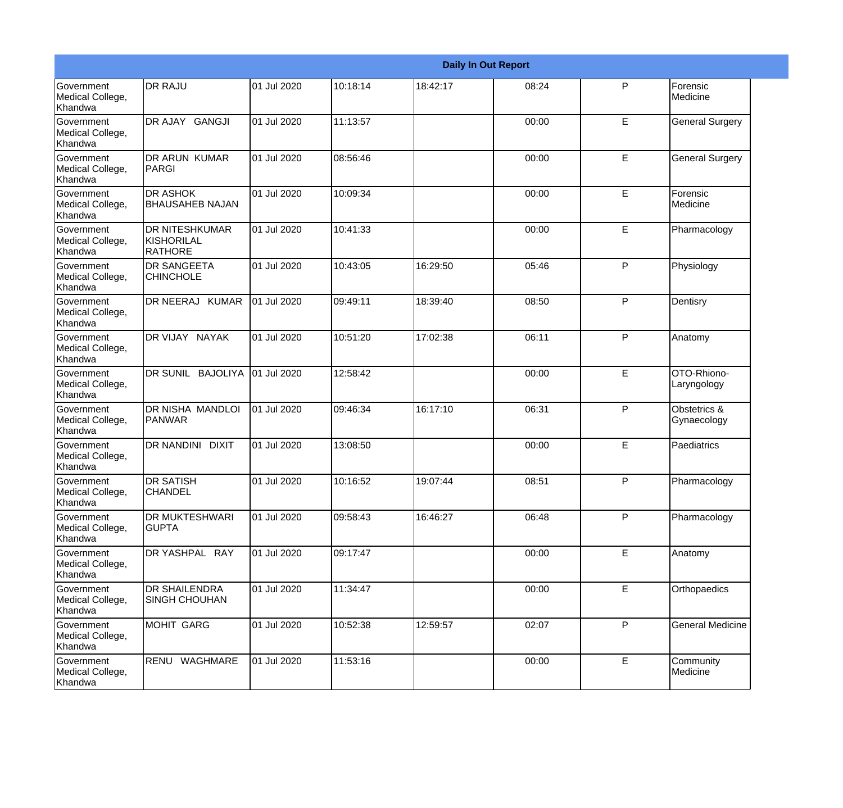|                                                  |                                                       |             |          |          | <b>Daily In Out Report</b> |   |                             |
|--------------------------------------------------|-------------------------------------------------------|-------------|----------|----------|----------------------------|---|-----------------------------|
| <b>Government</b><br>Medical College,<br>Khandwa | <b>DR RAJU</b>                                        | 01 Jul 2020 | 10:18:14 | 18:42:17 | 08:24                      | P | Forensic<br>Medicine        |
| Government<br>Medical College,<br>Khandwa        | DR AJAY GANGJI                                        | 01 Jul 2020 | 11:13:57 |          | 00:00                      | E | <b>General Surgery</b>      |
| Government<br>Medical College,<br>Khandwa        | <b>DR ARUN KUMAR</b><br>PARGI                         | 01 Jul 2020 | 08:56:46 |          | 00:00                      | E | <b>General Surgery</b>      |
| <b>Government</b><br>Medical College,<br>Khandwa | <b>DR ASHOK</b><br><b>BHAUSAHEB NAJAN</b>             | 01 Jul 2020 | 10:09:34 |          | 00:00                      | E | Forensic<br>Medicine        |
| <b>Government</b><br>Medical College,<br>Khandwa | <b>DR NITESHKUMAR</b><br><b>KISHORILAL</b><br>RATHORE | 01 Jul 2020 | 10:41:33 |          | 00:00                      | E | Pharmacology                |
| Government<br>Medical College,<br>Khandwa        | <b>DR SANGEETA</b><br><b>CHINCHOLE</b>                | 01 Jul 2020 | 10:43:05 | 16:29:50 | 05:46                      | P | Physiology                  |
| Government<br>Medical College,<br>Khandwa        | DR NEERAJ KUMAR                                       | 01 Jul 2020 | 09:49:11 | 18:39:40 | 08:50                      | P | Dentisry                    |
| Government<br>Medical College,<br>Khandwa        | DR VIJAY NAYAK                                        | 01 Jul 2020 | 10:51:20 | 17:02:38 | 06:11                      | P | Anatomy                     |
| Government<br>Medical College,<br>Khandwa        | DR SUNIL BAJOLIYA                                     | 01 Jul 2020 | 12:58:42 |          | 00:00                      | E | OTO-Rhiono-<br>Laryngology  |
| <b>Government</b><br>Medical College,<br>Khandwa | DR NISHA MANDLOI<br>PANWAR                            | 01 Jul 2020 | 09:46:34 | 16:17:10 | 06:31                      | P | Obstetrics &<br>Gynaecology |
| <b>Government</b><br>Medical College,<br>Khandwa | <b>DR NANDINI</b><br><b>DIXIT</b>                     | 01 Jul 2020 | 13:08:50 |          | 00:00                      | E | Paediatrics                 |
| Government<br>Medical College,<br>Khandwa        | <b>DR SATISH</b><br><b>CHANDEL</b>                    | 01 Jul 2020 | 10:16:52 | 19:07:44 | 08:51                      | P | Pharmacology                |
| Government<br>Medical College,<br>Khandwa        | <b>DR MUKTESHWARI</b><br><b>GUPTA</b>                 | 01 Jul 2020 | 09:58:43 | 16:46:27 | 06:48                      | P | Pharmacology                |
| Government<br>Medical College,<br>Khandwa        | DR YASHPAL RAY                                        | 01 Jul 2020 | 09:17:47 |          | 00:00                      | E | Anatomy                     |
| Government<br>Medical College,<br>Khandwa        | <b>DR SHAILENDRA</b><br><b>SINGH CHOUHAN</b>          | 01 Jul 2020 | 11:34:47 |          | 00:00                      | E | Orthopaedics                |
| Government<br>Medical College,<br>Khandwa        | <b>MOHIT GARG</b>                                     | 01 Jul 2020 | 10:52:38 | 12:59:57 | 02:07                      | P | <b>General Medicine</b>     |
| Government<br>Medical College,<br>Khandwa        | RENU WAGHMARE                                         | 01 Jul 2020 | 11:53:16 |          | 00:00                      | E | Community<br>Medicine       |